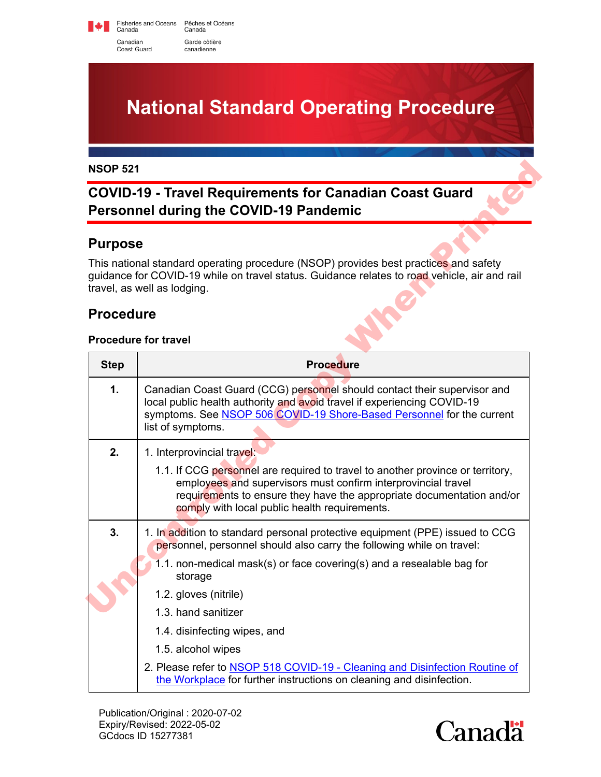Fisheries and Oceans Pêches et Océans<br>Canada Canada Canadian Garde côtière Coast Guard canadienne



## **COVID-19 - Travel Requirements for Canadian Coast Guard Personnel during the COVID-19 Pandemic**

#### **Purpose**

### **Procedure**

#### **Procedure for travel**

| <b>NSOP 521</b><br><b>COVID-19 - Travel Requirements for Canadian Coast Guard</b><br><b>Personnel during the COVID-19 Pandemic</b> |                                                                                                                                                                                                                                                                                                                                                                                                                                                                                                        |                |
|------------------------------------------------------------------------------------------------------------------------------------|--------------------------------------------------------------------------------------------------------------------------------------------------------------------------------------------------------------------------------------------------------------------------------------------------------------------------------------------------------------------------------------------------------------------------------------------------------------------------------------------------------|----------------|
|                                                                                                                                    |                                                                                                                                                                                                                                                                                                                                                                                                                                                                                                        | <b>Purpose</b> |
|                                                                                                                                    | This national standard operating procedure (NSOP) provides best practices and safety<br>guidance for COVID-19 while on travel status. Guidance relates to road vehicle, air and rail<br>travel, as well as lodging.                                                                                                                                                                                                                                                                                    |                |
| <b>Procedure</b>                                                                                                                   |                                                                                                                                                                                                                                                                                                                                                                                                                                                                                                        |                |
|                                                                                                                                    | <b>Procedure for travel</b>                                                                                                                                                                                                                                                                                                                                                                                                                                                                            |                |
| <b>Step</b>                                                                                                                        | <b>Procedure</b>                                                                                                                                                                                                                                                                                                                                                                                                                                                                                       |                |
| 1.                                                                                                                                 | Canadian Coast Guard (CCG) personnel should contact their supervisor and<br>local public health authority and avoid travel if experiencing COVID-19<br>symptoms. See NSOP 506 COVID-19 Shore-Based Personnel for the current<br>list of symptoms.                                                                                                                                                                                                                                                      |                |
| 2.                                                                                                                                 | 1. Interprovincial travel:<br>1.1. If CCG personnel are required to travel to another province or territory,<br>employees and supervisors must confirm interprovincial travel<br>requirements to ensure they have the appropriate documentation and/or<br>comply with local public health requirements.                                                                                                                                                                                                |                |
| 3.                                                                                                                                 | 1. In addition to standard personal protective equipment (PPE) issued to CCG<br>personnel, personnel should also carry the following while on travel:<br>1.1. non-medical mask(s) or face covering(s) and a resealable bag for<br>storage<br>1.2. gloves (nitrile)<br>1.3. hand sanitizer<br>1.4. disinfecting wipes, and<br>1.5. alcohol wipes<br>2. Please refer to NSOP 518 COVID-19 - Cleaning and Disinfection Routine of<br>the Workplace for further instructions on cleaning and disinfection. |                |

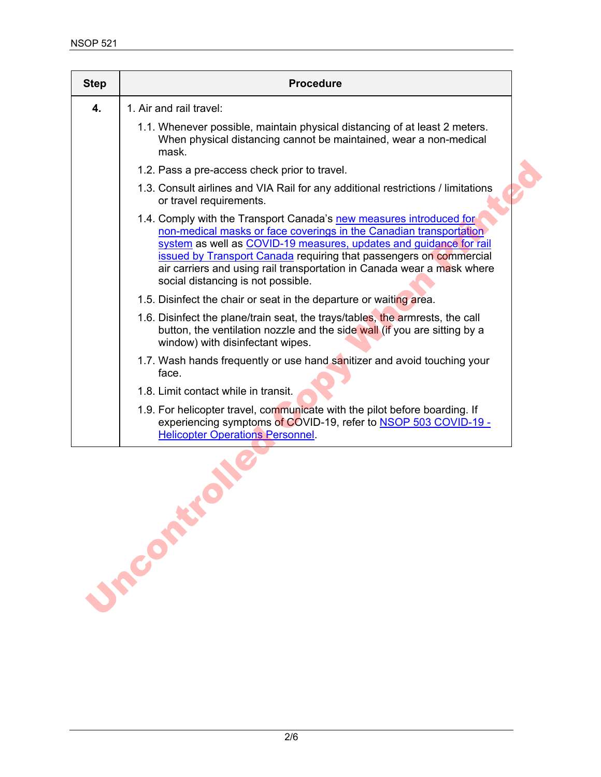| <b>Step</b> | <b>Procedure</b>                                                                                                                                                                                                                                                                                                                                                                                             |
|-------------|--------------------------------------------------------------------------------------------------------------------------------------------------------------------------------------------------------------------------------------------------------------------------------------------------------------------------------------------------------------------------------------------------------------|
| 4.          | 1. Air and rail travel:                                                                                                                                                                                                                                                                                                                                                                                      |
|             | 1.1. Whenever possible, maintain physical distancing of at least 2 meters.<br>When physical distancing cannot be maintained, wear a non-medical<br>mask.                                                                                                                                                                                                                                                     |
|             | 1.2. Pass a pre-access check prior to travel.                                                                                                                                                                                                                                                                                                                                                                |
|             | 1.3. Consult airlines and VIA Rail for any additional restrictions / limitations<br>or travel requirements.                                                                                                                                                                                                                                                                                                  |
|             | 1.4. Comply with the Transport Canada's new measures introduced for<br>non-medical masks or face coverings in the Canadian transportation<br>system as well as COVID-19 measures, updates and quidance for rail<br><b>issued by Transport Canada</b> requiring that passengers on commercial<br>air carriers and using rail transportation in Canada wear a mask where<br>social distancing is not possible. |
|             | 1.5. Disinfect the chair or seat in the departure or waiting area.                                                                                                                                                                                                                                                                                                                                           |
|             | 1.6. Disinfect the plane/train seat, the trays/tables, the armrests, the call<br>button, the ventilation nozzle and the side wall (if you are sitting by a<br>window) with disinfectant wipes.                                                                                                                                                                                                               |
|             | 1.7. Wash hands frequently or use hand sanitizer and avoid touching your<br>face.                                                                                                                                                                                                                                                                                                                            |
|             | 1.8. Limit contact while in transit.                                                                                                                                                                                                                                                                                                                                                                         |
|             | 1.9. For helicopter travel, communicate with the pilot before boarding. If<br>experiencing symptoms of COVID-19, refer to <b>NSOP 503 COVID-19 -</b><br><b>Helicopter Operations Personnel</b>                                                                                                                                                                                                               |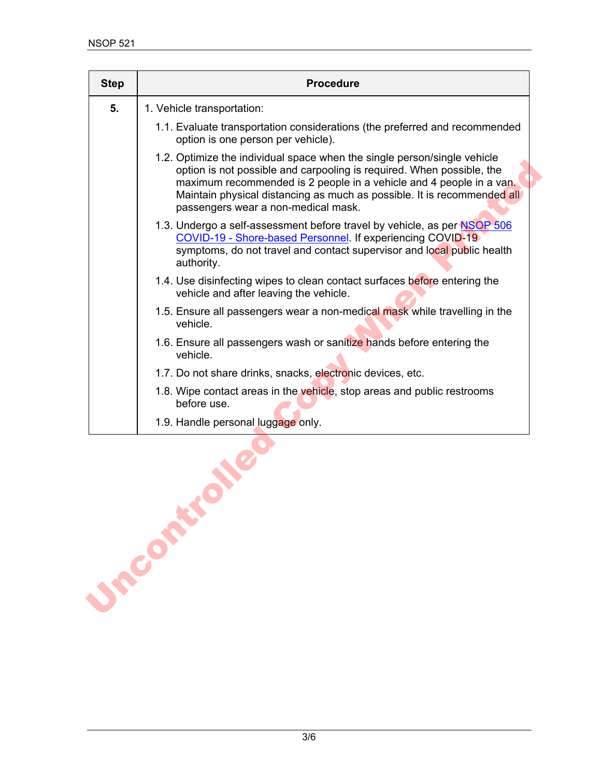|    | <b>Procedure</b>                                                                                                                                                                                                                                                                                                                           |
|----|--------------------------------------------------------------------------------------------------------------------------------------------------------------------------------------------------------------------------------------------------------------------------------------------------------------------------------------------|
| 5. | 1. Vehicle transportation:                                                                                                                                                                                                                                                                                                                 |
|    | 1.1. Evaluate transportation considerations (the preferred and recommended<br>option is one person per vehicle).                                                                                                                                                                                                                           |
|    | 1.2. Optimize the individual space when the single person/single vehicle<br>option is not possible and carpooling is required. When possible, the<br>maximum recommended is 2 people in a vehicle and 4 people in a van.<br>Maintain physical distancing as much as possible. It is recommended all<br>passengers wear a non-medical mask. |
|    | 1.3. Undergo a self-assessment before travel by vehicle, as per NSOP 506<br>COVID-19 - Shore-based Personnel. If experiencing COVID-19<br>symptoms, do not travel and contact supervisor and local public health<br>authority.                                                                                                             |
|    | 1.4. Use disinfecting wipes to clean contact surfaces before entering the<br>vehicle and after leaving the vehicle.                                                                                                                                                                                                                        |
|    | 1.5. Ensure all passengers wear a non-medical mask while travelling in the<br>vehicle.                                                                                                                                                                                                                                                     |
|    | 1.6. Ensure all passengers wash or sanitize hands before entering the<br>vehicle.                                                                                                                                                                                                                                                          |
|    | 1.7. Do not share drinks, snacks, electronic devices, etc.                                                                                                                                                                                                                                                                                 |
|    | 1.8. Wipe contact areas in the vehicle, stop areas and public restrooms<br>before use.                                                                                                                                                                                                                                                     |
|    | 1.9. Handle personal luggage only.                                                                                                                                                                                                                                                                                                         |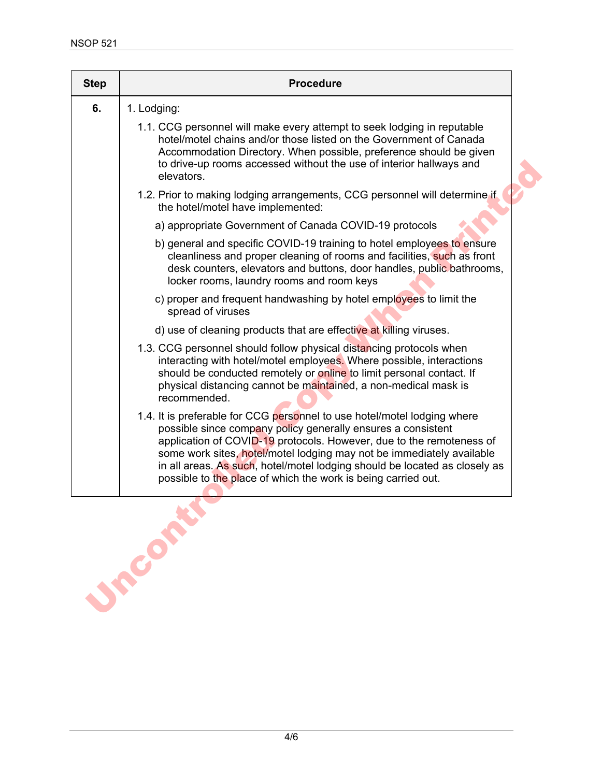| <b>Step</b> | <b>Procedure</b>                                                                                                                                                                                                                                                                                                                                                                                                                         |
|-------------|------------------------------------------------------------------------------------------------------------------------------------------------------------------------------------------------------------------------------------------------------------------------------------------------------------------------------------------------------------------------------------------------------------------------------------------|
| 6.          | 1. Lodging:                                                                                                                                                                                                                                                                                                                                                                                                                              |
|             | 1.1. CCG personnel will make every attempt to seek lodging in reputable<br>hotel/motel chains and/or those listed on the Government of Canada<br>Accommodation Directory. When possible, preference should be given<br>to drive-up rooms accessed without the use of interior hallways and<br>elevators.                                                                                                                                 |
|             | 1.2. Prior to making lodging arrangements, CCG personnel will determine if<br>the hotel/motel have implemented:                                                                                                                                                                                                                                                                                                                          |
|             | a) appropriate Government of Canada COVID-19 protocols                                                                                                                                                                                                                                                                                                                                                                                   |
|             | b) general and specific COVID-19 training to hotel employees to ensure<br>cleanliness and proper cleaning of rooms and facilities, such as front<br>desk counters, elevators and buttons, door handles, public bathrooms,<br>locker rooms, laundry rooms and room keys                                                                                                                                                                   |
|             | c) proper and frequent handwashing by hotel employees to limit the<br>spread of viruses                                                                                                                                                                                                                                                                                                                                                  |
|             | d) use of cleaning products that are effective at killing viruses.                                                                                                                                                                                                                                                                                                                                                                       |
|             | 1.3. CCG personnel should follow physical distancing protocols when<br>interacting with hotel/motel employees. Where possible, interactions<br>should be conducted remotely or online to limit personal contact. If<br>physical distancing cannot be maintained, a non-medical mask is<br>recommended.                                                                                                                                   |
|             | 1.4. It is preferable for CCG personnel to use hotel/motel lodging where<br>possible since company policy generally ensures a consistent<br>application of COVID-19 protocols. However, due to the remoteness of<br>some work sites, hotel/motel lodging may not be immediately available<br>in all areas. As such, hotel/motel lodging should be located as closely as<br>possible to the place of which the work is being carried out. |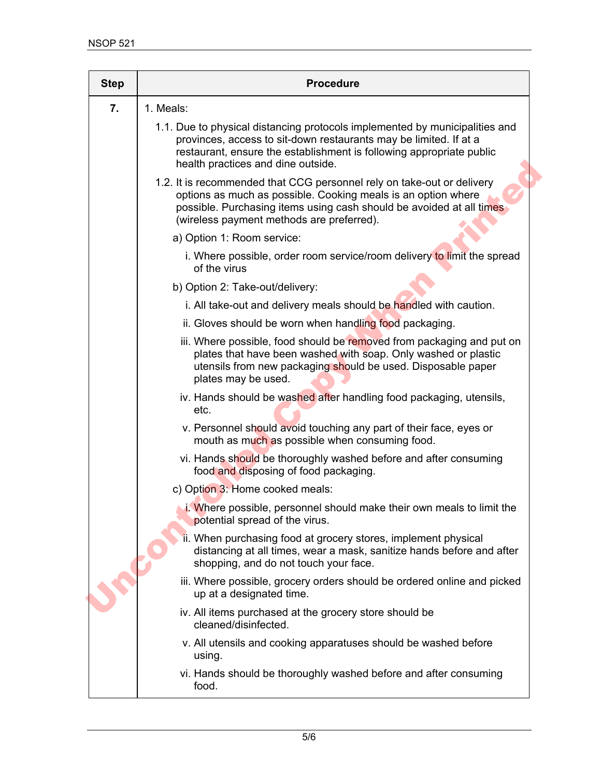| <b>Step</b> | <b>Procedure</b>                                                                                                                                                                                                                                               |
|-------------|----------------------------------------------------------------------------------------------------------------------------------------------------------------------------------------------------------------------------------------------------------------|
| 7.          | 1. Meals:                                                                                                                                                                                                                                                      |
|             | 1.1. Due to physical distancing protocols implemented by municipalities and<br>provinces, access to sit-down restaurants may be limited. If at a<br>restaurant, ensure the establishment is following appropriate public<br>health practices and dine outside. |
|             | 1.2. It is recommended that CCG personnel rely on take-out or delivery<br>options as much as possible. Cooking meals is an option where<br>possible. Purchasing items using cash should be avoided at all times<br>(wireless payment methods are preferred).   |
|             | a) Option 1: Room service:                                                                                                                                                                                                                                     |
|             | i. Where possible, order room service/room delivery to limit the spread<br>of the virus                                                                                                                                                                        |
|             | b) Option 2: Take-out/delivery:                                                                                                                                                                                                                                |
|             | i. All take-out and delivery meals should be handled with caution.                                                                                                                                                                                             |
|             | ii. Gloves should be worn when handling food packaging.                                                                                                                                                                                                        |
|             | iii. Where possible, food should be removed from packaging and put on<br>plates that have been washed with soap. Only washed or plastic<br>utensils from new packaging should be used. Disposable paper<br>plates may be used.                                 |
|             | iv. Hands should be washed after handling food packaging, utensils,<br>etc.                                                                                                                                                                                    |
|             | v. Personnel should avoid touching any part of their face, eyes or<br>mouth as much as possible when consuming food.                                                                                                                                           |
|             | vi. Hands should be thoroughly washed before and after consuming<br>food and disposing of food packaging.                                                                                                                                                      |
|             | c) Option 3: Home cooked meals:                                                                                                                                                                                                                                |
|             | i. Where possible, personnel should make their own meals to limit the<br>potential spread of the virus.                                                                                                                                                        |
|             | ii. When purchasing food at grocery stores, implement physical<br>distancing at all times, wear a mask, sanitize hands before and after<br>shopping, and do not touch your face.                                                                               |
|             | iii. Where possible, grocery orders should be ordered online and picked<br>up at a designated time.                                                                                                                                                            |
|             | iv. All items purchased at the grocery store should be<br>cleaned/disinfected.                                                                                                                                                                                 |
|             | v. All utensils and cooking apparatuses should be washed before<br>using.                                                                                                                                                                                      |
|             | vi. Hands should be thoroughly washed before and after consuming<br>food.                                                                                                                                                                                      |